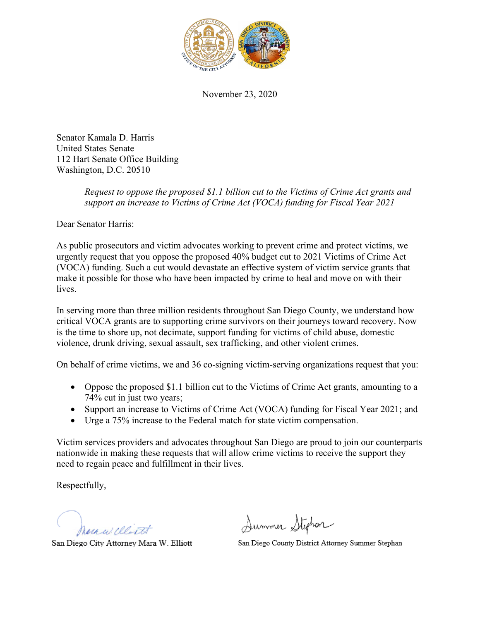

November 23, 2020

Senator Kamala D. Harris United States Senate 112 Hart Senate Office Building Washington, D.C. 20510

> *Request to oppose the proposed \$1.1 billion cut to the Victims of Crime Act grants and support an increase to Victims of Crime Act (VOCA) funding for Fiscal Year 2021*

Dear Senator Harris:

As public prosecutors and victim advocates working to prevent crime and protect victims, we urgently request that you oppose the proposed 40% budget cut to 2021 Victims of Crime Act (VOCA) funding. Such a cut would devastate an effective system of victim service grants that make it possible for those who have been impacted by crime to heal and move on with their lives.

In serving more than three million residents throughout San Diego County, we understand how critical VOCA grants are to supporting crime survivors on their journeys toward recovery. Now is the time to shore up, not decimate, support funding for victims of child abuse, domestic violence, drunk driving, sexual assault, sex trafficking, and other violent crimes.

On behalf of crime victims, we and 36 co-signing victim-serving organizations request that you:

- Oppose the proposed \$1.1 billion cut to the Victims of Crime Act grants, amounting to a 74% cut in just two years;
- Support an increase to Victims of Crime Act (VOCA) funding for Fiscal Year 2021; and
- Urge a 75% increase to the Federal match for state victim compensation.

Victim services providers and advocates throughout San Diego are proud to join our counterparts nationwide in making these requests that will allow crime victims to receive the support they need to regain peace and fulfillment in their lives.

Respectfully,

unwillist

San Diego City Attorney Mara W. Elliott

Summer Stephon

San Diego County District Attorney Summer Stephan